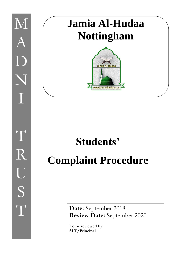

I

## **Jamia Al-Hudaa Nottingham**



## **Students' Complaint Procedure**

**Date:** September 2018 **Review Date:** September 2020

**To be reviewed by: SLT/Principal**